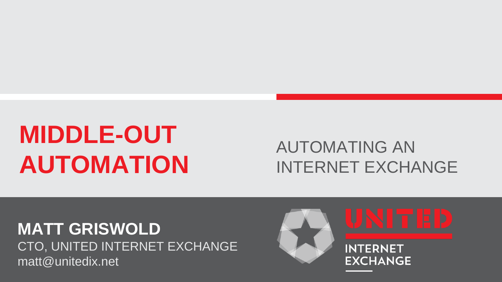# **MIDDLE-OUT AUTOMATION**

### AUTOMATING AN INTERNET EXCHANGE

**MATT GRISWOLD** CTO, UNITED INTERNET EXCHANGE matt@unitedix.net

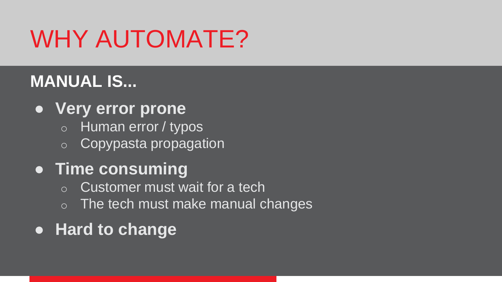# WHY AUTOMATE?

## **MANUAL IS...**

- **Very error prone**
	- o Human error / typos
	- o Copypasta propagation

### ● **Time consuming**

- $\circ$  Customer must wait for a tech
- $\circ$  The tech must make manual changes
- **Hard to change**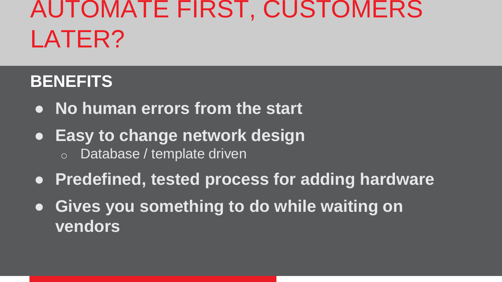## AUTOMATE FIRST, CUSTOMERS LATER?

### **BENEFITS**

- **No human errors from the start**
- **Easy to change network design** o Database / template driven
- **Predefined, tested process for adding hardware**
- **Gives you something to do while waiting on vendors**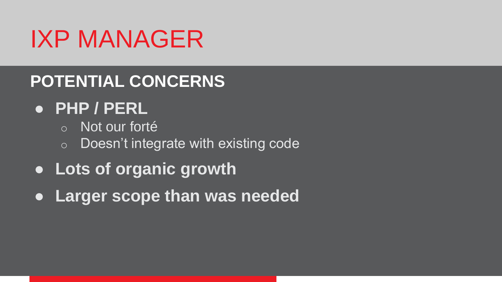# IXP MANAGER

### **POTENTIAL CONCERNS**

### ● **PHP / PERL**

- o Not our forté
- o Doesn't integrate with existing code
- **Lots of organic growth**
- **Larger scope than was needed**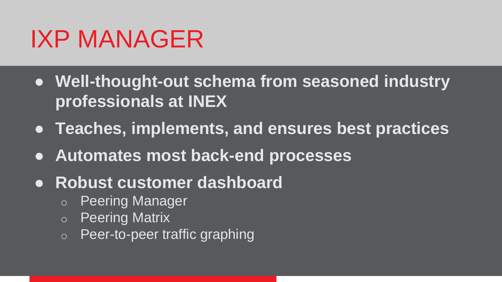## IXP MANAGER

- **Well-thought-out schema from seasoned industry professionals at INEX**
- **Teaches, implements, and ensures best practices**
- **Automates most back-end processes**
- **Robust customer dashboard**
	- o Peering Manager
	- o Peering Matrix
	- o Peer-to-peer traffic graphing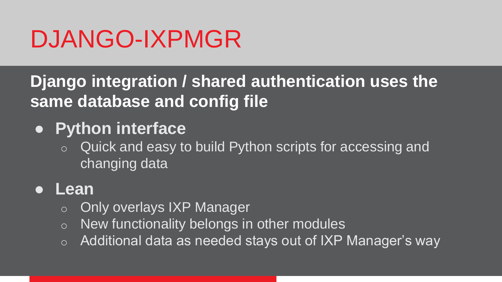## DJANGO-IXPMGR

**Django integration / shared authentication uses the same database and config file**

- **Python interface**
	- o Quick and easy to build Python scripts for accessing and changing data

#### ● **Lean**

- o Only overlays IXP Manager
- $\circ$  New functionality belongs in other modules
- $\circ$  Additional data as needed stays out of IXP Manager's way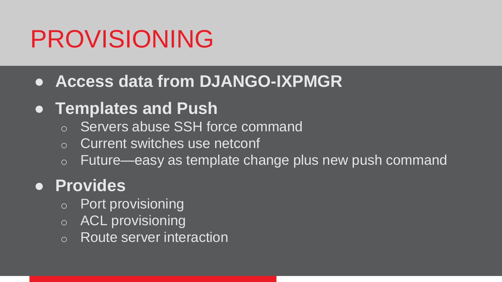# PROVISIONING

#### ● **Access data from DJANGO-IXPMGR**

### ● **Templates and Push**

- o Servers abuse SSH force command
- o Current switches use netconf
- o Future—easy as template change plus new push command

### ● **Provides**

- o Port provisioning
- o ACL provisioning
- o Route server interaction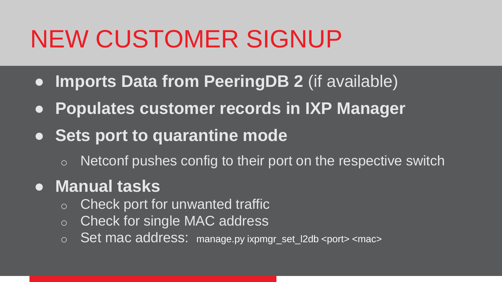# NEW CUSTOMER SIGNUP

- **Imports Data from PeeringDB 2** (if available)
- **Populates customer records in IXP Manager**
- **Sets port to quarantine mode**
	- $\circ$  Netconf pushes config to their port on the respective switch

### ● **Manual tasks**

- $\circ$  Check port for unwanted traffic
- o Check for single MAC address
- o Set mac address: manage.py ixpmgr\_set\_l2db <port> <mac>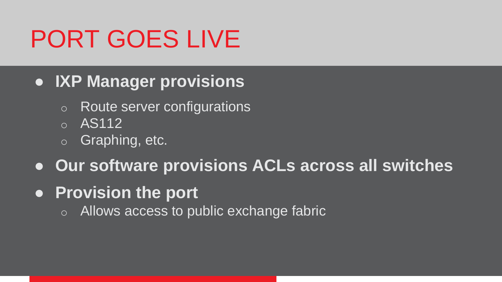# PORT GOES LIVE

- **IXP Manager provisions**
	- o Route server configurations
	- o AS112
	- o Graphing, etc.
- **Our software provisions ACLs across all switches**
- **Provision the port**
	- o Allows access to public exchange fabric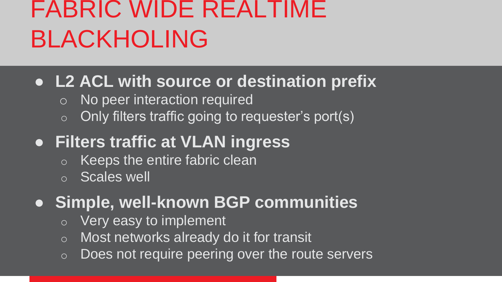# FABRIC WIDE REALTIME BLACKHOLING

#### ● **L2 ACL with source or destination prefix**

- o No peer interaction required
- $\circ$  Only filters traffic going to requester's port(s)

### ● **Filters traffic at VLAN ingress**

- o Keeps the entire fabric clean
- o Scales well
- **Simple, well-known BGP communities**
	- o Very easy to implement
	- o Most networks already do it for transit
	- $\circ$  Does not require peering over the route servers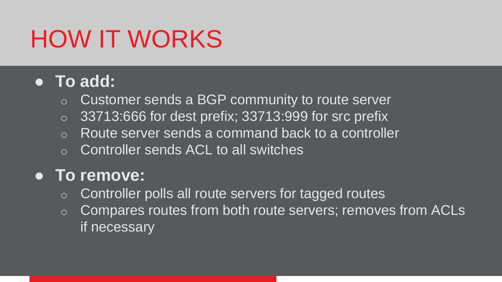# HOW IT WORKS

#### ● **To add:**

- o Customer sends a BGP community to route server
- $\circ$  33713:666 for dest prefix; 33713:999 for src prefix
- o Route server sends a command back to a controller
- o Controller sends ACL to all switches

#### ● **To remove:**

- o Controller polls all route servers for tagged routes
- o Compares routes from both route servers; removes from ACLs if necessary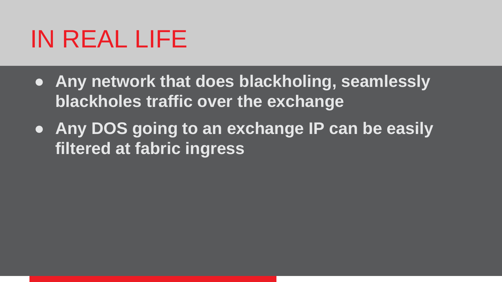## IN REAL LIFE

- **Any network that does blackholing, seamlessly blackholes traffic over the exchange**
- **Any DOS going to an exchange IP can be easily filtered at fabric ingress**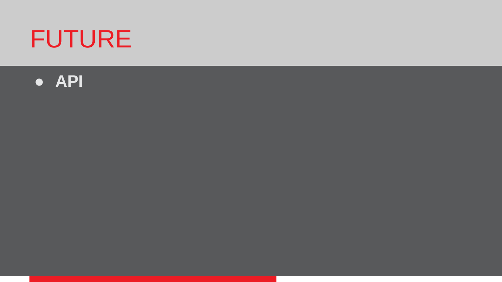# FUTURE

#### ● **API**